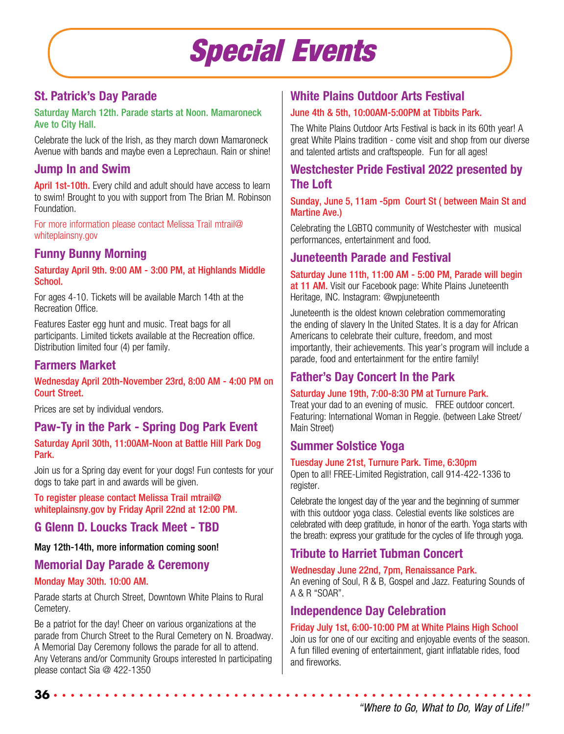# *Special Events*

# **St. Patrick's Day Parade**

Saturday March 12th. Parade starts at Noon. Mamaroneck Ave to City Hall.

Celebrate the luck of the Irish, as they march down Mamaroneck Avenue with bands and maybe even a Leprechaun. Rain or shine!

# **Jump In and Swim**

April 1st-10th. Every child and adult should have access to learn to swim! Brought to you with support from The Brian M. Robinson **Foundation** 

For more information please contact Melissa Trail mtrail@ whiteplainsny.gov

# **Funny Bunny Morning**

Saturday April 9th. 9:00 AM - 3:00 PM, at Highlands Middle School.

For ages 4-10. Tickets will be available March 14th at the Recreation Office.

Features Easter egg hunt and music. Treat bags for all participants. Limited tickets available at the Recreation office. Distribution limited four (4) per family.

## **Farmers Market**

#### Wednesday April 20th-November 23rd, 8:00 AM - 4:00 PM on Court Street.

Prices are set by individual vendors.

# **Paw-Ty in the Park - Spring Dog Park Event**

Saturday April 30th, 11:00AM-Noon at Battle Hill Park Dog Park.

Join us for a Spring day event for your dogs! Fun contests for your dogs to take part in and awards will be given.

To register please contact Melissa Trail mtrail@ whiteplainsny.gov by Friday April 22nd at 12:00 PM.

### **G Glenn D. Loucks Track Meet - TBD**

#### May 12th-14th, more information coming soon!

# **Memorial Day Parade & Ceremony**

#### Monday May 30th. 10:00 AM.

**36**

Parade starts at Church Street, Downtown White Plains to Rural Cemetery.

Be a patriot for the day! Cheer on various organizations at the parade from Church Street to the Rural Cemetery on N. Broadway. A Memorial Day Ceremony follows the parade for all to attend. Any Veterans and/or Community Groups interested In participating please contact Sia @ 422-1350

# **White Plains Outdoor Arts Festival**

#### June 4th & 5th, 10:00AM-5:00PM at Tibbits Park.

The White Plains Outdoor Arts Festival is back in its 60th year! A great White Plains tradition - come visit and shop from our diverse and talented artists and craftspeople. Fun for all ages!

# **Westchester Pride Festival 2022 presented by The Loft**

#### Sunday, June 5, 11am -5pm Court St ( between Main St and Martine Ave.)

Celebrating the LGBTQ community of Westchester with musical performances, entertainment and food.

### **Juneteenth Parade and Festival**

Saturday June 11th, 11:00 AM - 5:00 PM, Parade will begin at 11 AM. Visit our Facebook page: White Plains Juneteenth Heritage, INC. Instagram: @wpjuneteenth

Juneteenth is the oldest known celebration commemorating the ending of slavery In the United States. It is a day for African Americans to celebrate their culture, freedom, and most importantly, their achievements. This year's program will include a parade, food and entertainment for the entire family!

# **Father's Day Concert In the Park**

#### Saturday June 19th, 7:00-8:30 PM at Turnure Park.

Treat your dad to an evening of music. FREE outdoor concert. Featuring: International Woman in Reggie. (between Lake Street/ Main Street)

### **Summer Solstice Yoga**

#### Tuesday June 21st, Turnure Park. Time, 6:30pm

Open to all! FREE-Limited Registration, call 914-422-1336 to register.

Celebrate the longest day of the year and the beginning of summer with this outdoor yoga class. Celestial events like solstices are celebrated with deep gratitude, in honor of the earth. Yoga starts with the breath: express your gratitude for the cycles of life through yoga.

# **Tribute to Harriet Tubman Concert**

Wednesday June 22nd, 7pm, Renaissance Park.

An evening of Soul, R & B, Gospel and Jazz. Featuring Sounds of A & R "SOAR".

### **Independence Day Celebration**

#### Friday July 1st, 6:00-10:00 PM at White Plains High School

Join us for one of our exciting and enjoyable events of the season. A fun filled evening of entertainment, giant inflatable rides, food and fireworks.

*"Where to Go, What to Do, Way of Life!"*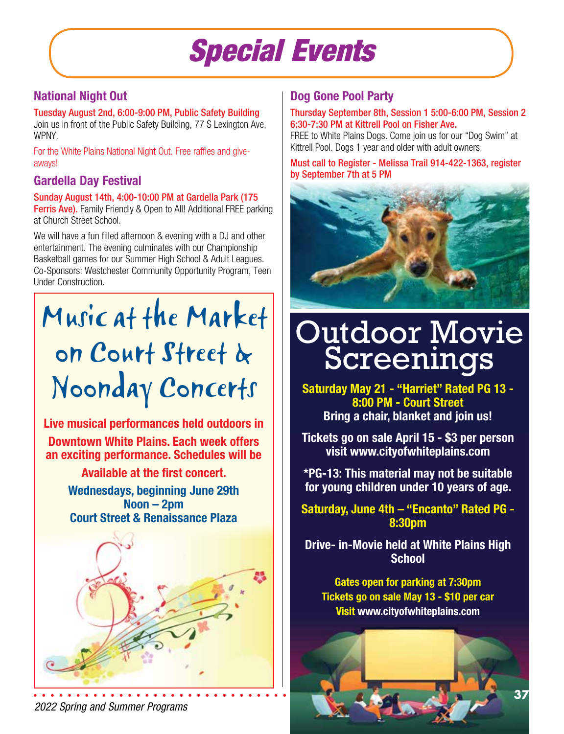# *Special Events*

# **National Night Out**

Tuesday August 2nd, 6:00-9:00 PM, Public Safety Building Join us in front of the Public Safety Building, 77 S Lexington Ave, WPNY.

For the White Plains National Night Out. Free raffles and giveaways!

# **Gardella Day Festival**

Sunday August 14th, 4:00-10:00 PM at Gardella Park (175 Ferris Ave). Family Friendly & Open to All! Additional FREE parking at Church Street School.

We will have a fun filled afternoon & evening with a DJ and other entertainment. The evening culminates with our Championship Basketball games for our Summer High School & Adult Leagues. Co-Sponsors: Westchester Community Opportunity Program, Teen Under Construction.

# Music at the Market on Court Street & Noonday Concerts

**Live musical performances held outdoors in Downtown White Plains. Each week offers an exciting performance. Schedules will be**

> **Available at the first concert. Wednesdays, beginning June 29th Noon – 2pm Court Street & Renaissance Plaza**



**Dog Gone Pool Party** 

#### Thursday September 8th, Session 1 5:00-6:00 PM, Session 2 6:30-7:30 PM at Kittrell Pool on Fisher Ave.

FREE to White Plains Dogs. Come join us for our "Dog Swim" at Kittrell Pool. Dogs 1 year and older with adult owners.

Must call to Register - Melissa Trail 914-422-1363, register by September 7th at 5 PM



# Outdoor Movie Screenings

**Saturday May 21 - "Harriet" Rated PG 13 - 8:00 PM - Court Street Bring a chair, blanket and join us!**

**Tickets go on sale April 15 - \$3 per person visit www.cityofwhiteplains.com** 

**\*PG-13: This material may not be suitable for young children under 10 years of age.**

**Saturday, June 4th – "Encanto" Rated PG - 8:30pm**

**Drive- in-Movie held at White Plains High School** 

**Gates open for parking at 7:30pm Tickets go on sale May 13 - \$10 per car Visit www.cityofwhiteplains.com**

*2022 Spring and Summer Programs*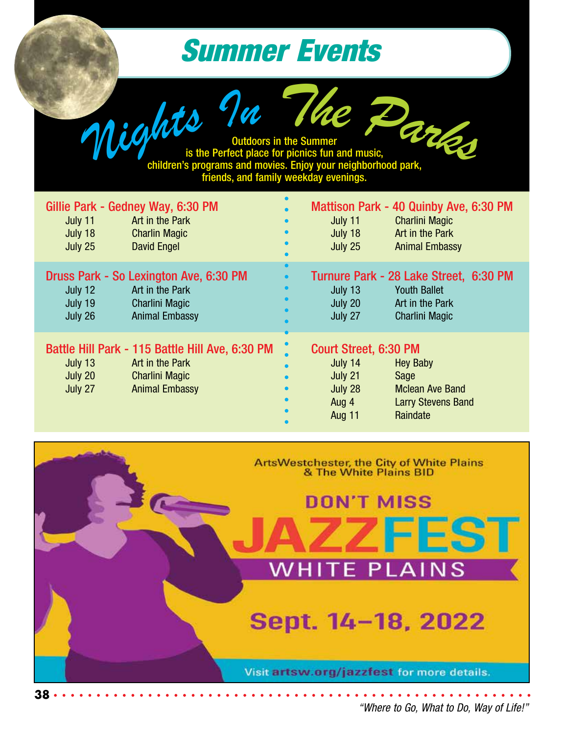# *Summer Events*

Outdoors in the Summer outdoors in the Summer<br>is the Perfect place for picnics fun and music, children's programs and movies. Enjoy your neighborhood park, friends, and family weekday evenings. *<sup>N</sup>ight<sup>s</sup> <sup>I</sup><sup>n</sup> <sup>T</sup>h<sup>e</sup> <sup>P</sup><sup>a</sup>rks*

| Gillie Park - Gedney Way, 6:30 PM<br>July 11<br>Art in the Park<br>July 18<br><b>Charlin Magic</b><br><b>David Engel</b><br>July 25                   | Mattison Park - 40 Quinby Ave, 6:30 PM<br><b>Charlini Magic</b><br>July 11<br>$\bullet$<br>Art in the Park<br>July 18<br>$\bullet$<br>$\bullet$<br><b>Animal Embassy</b><br>July 25                                         |
|-------------------------------------------------------------------------------------------------------------------------------------------------------|-----------------------------------------------------------------------------------------------------------------------------------------------------------------------------------------------------------------------------|
| Druss Park - So Lexington Ave, 6:30 PM<br>Art in the Park<br>July 12<br>July 19<br><b>Charlini Magic</b><br><b>Animal Embassy</b><br>July 26          | $\bullet$<br>Turnure Park - 28 Lake Street, 6:30 PM<br>$\bullet$<br><b>Youth Ballet</b><br>July 13<br>$\bullet$<br>July 20<br>Art in the Park<br>July 27<br><b>Charlini Magic</b>                                           |
| Battle Hill Park - 115 Battle Hill Ave, 6:30 PM<br>July 13<br>Art in the Park<br>July 20<br><b>Charlini Magic</b><br>July 27<br><b>Animal Embassy</b> | Court Street, 6:30 PM<br><b>Hey Baby</b><br>July 14<br>$\bullet$<br>July 21<br>Sage<br>$\bullet$<br>July 28<br><b>Mclean Ave Band</b><br>$\bullet$<br>Aug 4<br><b>Larry Stevens Band</b><br>$\bullet$<br>Raindate<br>Aug 11 |

ArtsWestchester, the City of White Plains<br>& The White Plains BID



*"Where to Go, What to Do, Way of Life!"*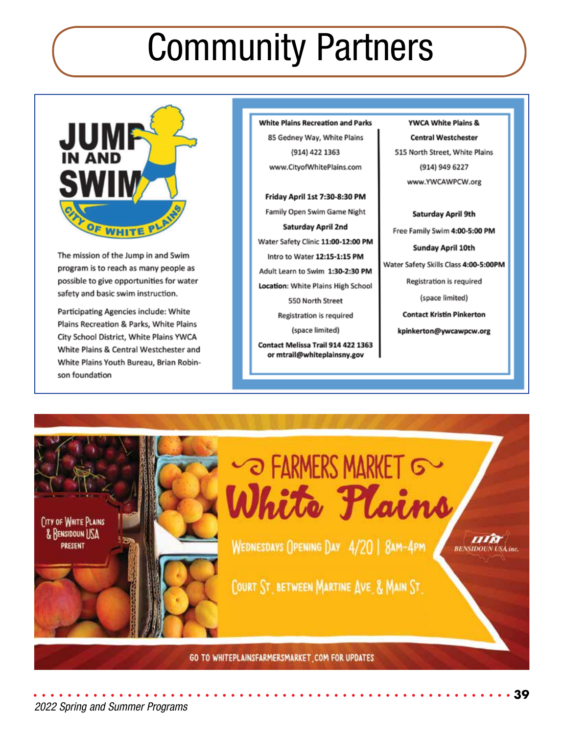# Community Partners



The mission of the Jump in and Swim program is to reach as many people as possible to give opportunities for water safety and basic swim instruction.

Participating Agencies include: White Plains Recreation & Parks, White Plains City School District, White Plains YWCA White Plains & Central Westchester and White Plains Youth Bureau, Brian Robinson foundation

**White Plains Recreation and Parks** 85 Gedney Way, White Plains (914) 422 1363 www.CityofWhitePlains.com

Friday April 1st 7:30-8:30 PM Family Open Swim Game Night Saturday April 2nd Water Safety Clinic 11:00-12:00 PM Intro to Water 12:15-1:15 PM Adult Learn to Swim 1:30-2:30 PM Location: White Plains High School 550 North Street Registration is required (space limited)

Contact Melissa Trail 914 422 1363 or mtrail@whiteplainsny.gov

YWCA White Plains & **Central Westchester** 515 North Street, White Plains (914) 949 6227 www.YWCAWPCW.org

Saturday April 9th Free Family Swim 4:00-5:00 PM Sunday April 10th Water Safety Skills Class 4:00-5:00PM Registration is required (space limited) **Contact Kristin Pinkerton** kpinkerton@ywcawpcw.org